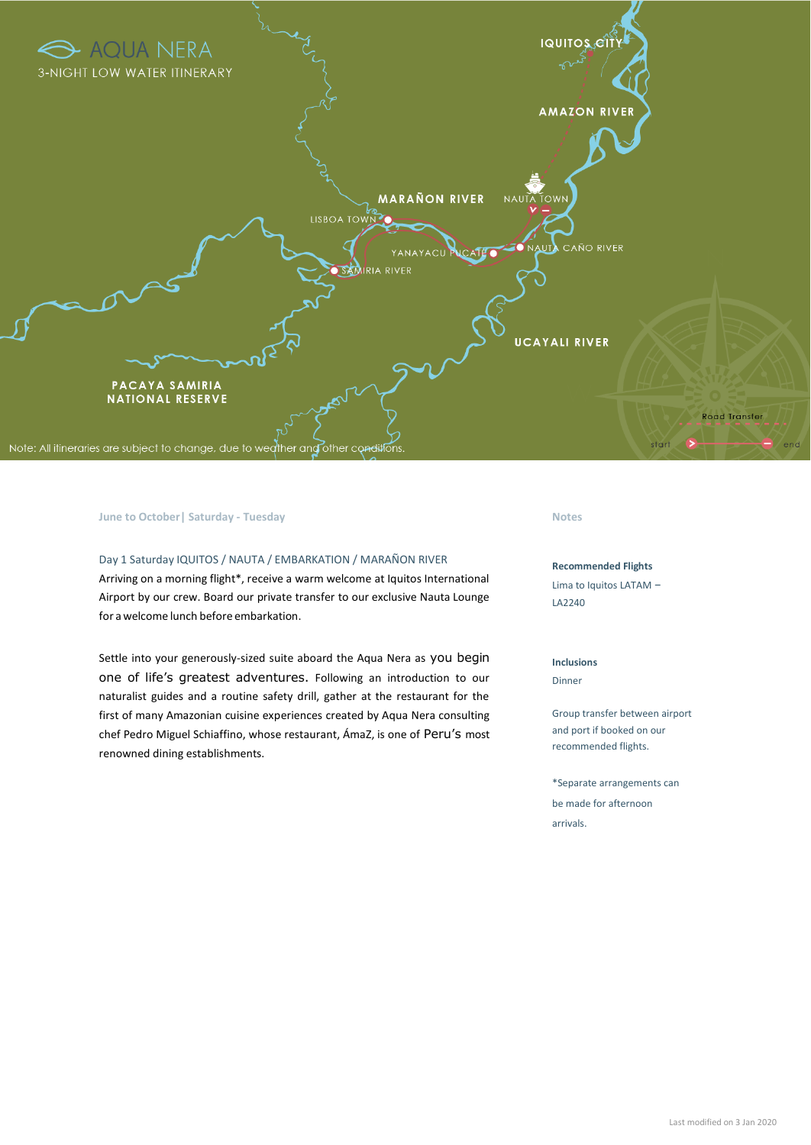

# **June to October| Saturday - Tuesday Notes**

# Day 1 Saturday IQUITOS / NAUTA / EMBARKATION / MARAÑON RIVER Arriving on a morning flight\*, receive a warm welcome at Iquitos International Airport by our crew. Board our private transfer to our exclusive Nauta Lounge for a welcome lunch before embarkation.

Settle into your generously-sized suite aboard the Aqua Nera as you begin one of life's greatest adventures. Following an introduction to our naturalist guides and a routine safety drill, gather at the restaurant for the first of many Amazonian cuisine experiences created by Aqua Nera consulting chef Pedro Miguel Schiaffino, whose restaurant, ÁmaZ, is one of Peru's most renowned dining establishments.

#### **Recommended Flights**

Lima to Iquitos LATAM – LA2240

#### **Inclusions**

Dinner

Group transfer between airport and port if booked on our recommended flights.

\*Separate arrangements can be made for afternoon arrivals.